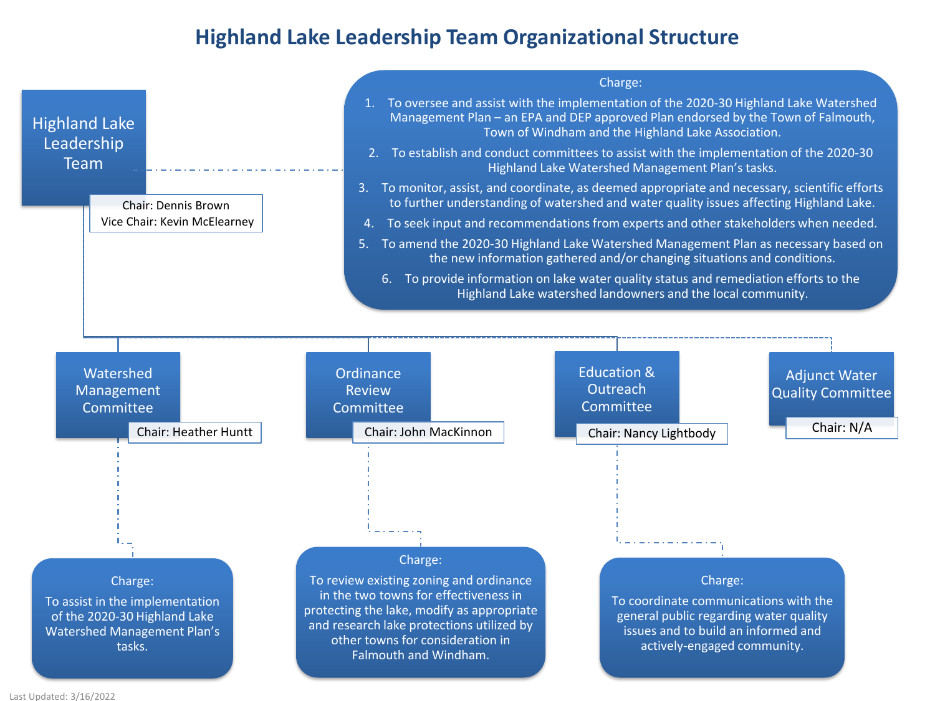## **Highland Lake Leadership Team Organizational Structure**